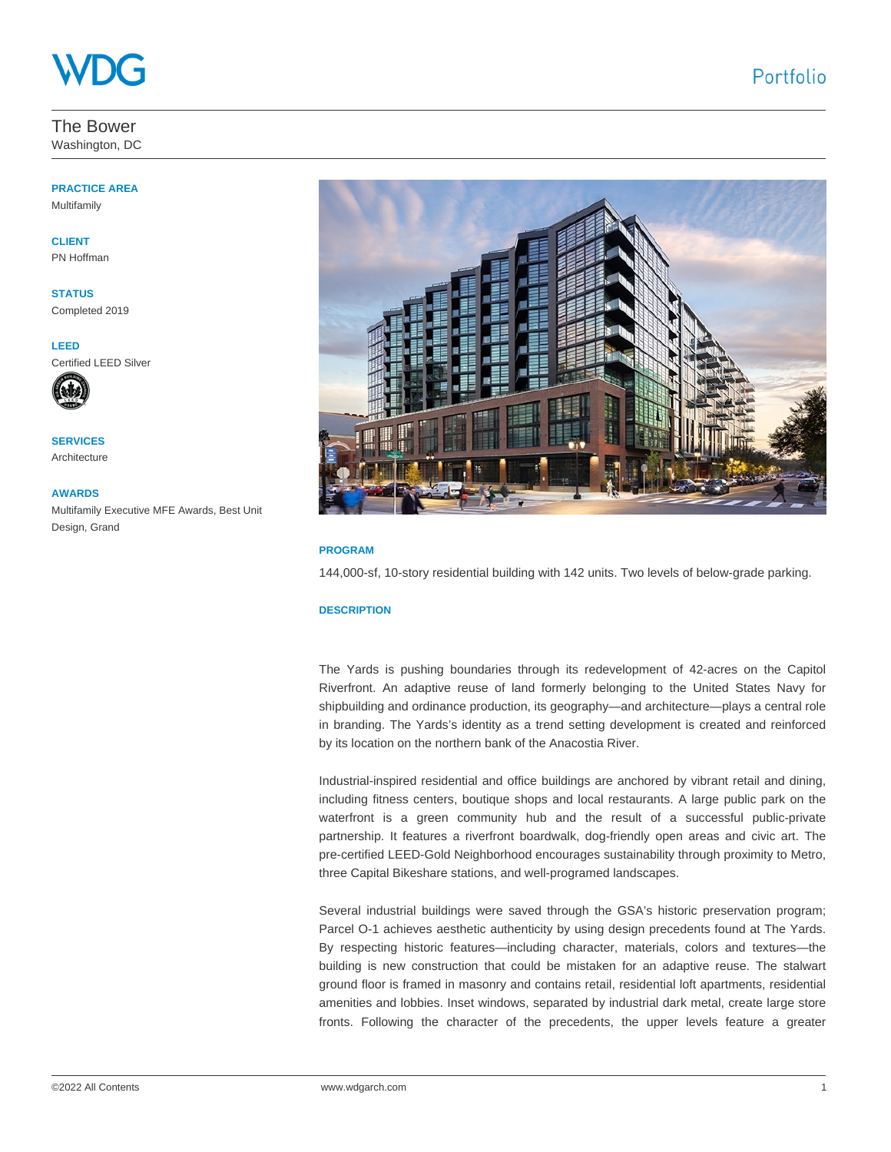The Bower Washington, DC

## **PRACTICE AREA**

Multifamily

**CLIENT** PN Hoffman

**STATUS** Completed 2019

**LEED**  Certified LEED Silver



**SERVICES** Architecture

**AWARDS** Multifamily Executive MFE Awards, Best Unit Design, Grand



## **PROGRAM**

144,000-sf, 10-story residential building with 142 units. Two levels of below-grade parking.

## **DESCRIPTION**

The Yards is pushing boundaries through its redevelopment of 42-acres on the Capitol Riverfront. An adaptive reuse of land formerly belonging to the United States Navy for shipbuilding and ordinance production, its geography—and architecture—plays a central role in branding. The Yards's identity as a trend setting development is created and reinforced by its location on the northern bank of the Anacostia River.

Industrial-inspired residential and office buildings are anchored by vibrant retail and dining, including fitness centers, boutique shops and local restaurants. A large public park on the waterfront is a green community hub and the result of a successful public-private partnership. It features a riverfront boardwalk, dog-friendly open areas and civic art. The pre-certified LEED-Gold Neighborhood encourages sustainability through proximity to Metro, three Capital Bikeshare stations, and well-programed landscapes.

Several industrial buildings were saved through the GSA's historic preservation program; Parcel O-1 achieves aesthetic authenticity by using design precedents found at The Yards. By respecting historic features—including character, materials, colors and textures—the building is new construction that could be mistaken for an adaptive reuse. The stalwart ground floor is framed in masonry and contains retail, residential loft apartments, residential amenities and lobbies. Inset windows, separated by industrial dark metal, create large store fronts. Following the character of the precedents, the upper levels feature a greater